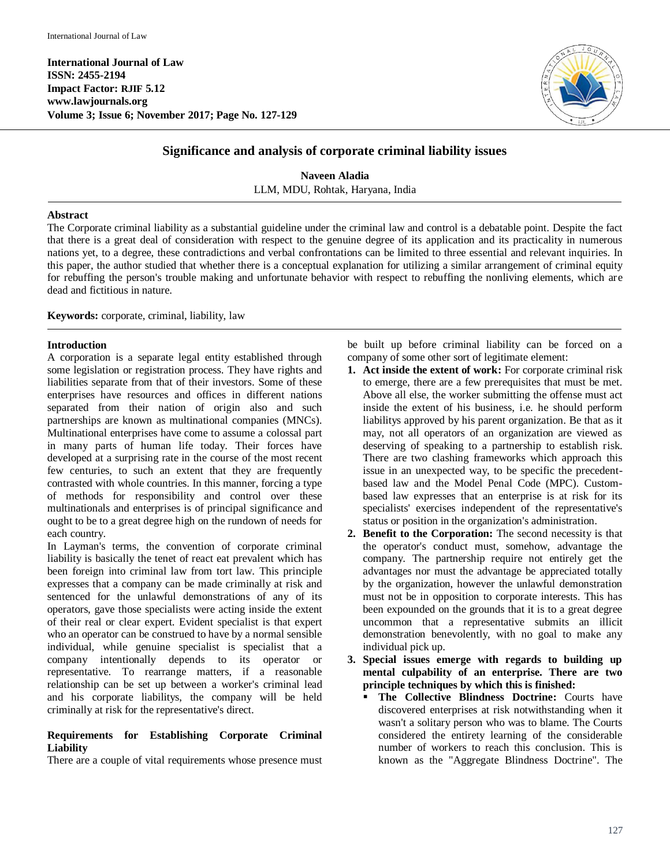**International Journal of Law ISSN: 2455-2194 Impact Factor: RJIF 5.12 www.lawjournals.org Volume 3; Issue 6; November 2017; Page No. 127-129**



# **Significance and analysis of corporate criminal liability issues**

**Naveen Aladia** LLM, MDU, Rohtak, Haryana, India

### **Abstract**

The Corporate criminal liability as a substantial guideline under the criminal law and control is a debatable point. Despite the fact that there is a great deal of consideration with respect to the genuine degree of its application and its practicality in numerous nations yet, to a degree, these contradictions and verbal confrontations can be limited to three essential and relevant inquiries. In this paper, the author studied that whether there is a conceptual explanation for utilizing a similar arrangement of criminal equity for rebuffing the person's trouble making and unfortunate behavior with respect to rebuffing the nonliving elements, which are dead and fictitious in nature.

**Keywords:** corporate, criminal, liability, law

## **Introduction**

A corporation is a separate legal entity established through some legislation or registration process. They have rights and liabilities separate from that of their investors. Some of these enterprises have resources and offices in different nations separated from their nation of origin also and such partnerships are known as multinational companies (MNCs). Multinational enterprises have come to assume a colossal part in many parts of human life today. Their forces have developed at a surprising rate in the course of the most recent few centuries, to such an extent that they are frequently contrasted with whole countries. In this manner, forcing a type of methods for responsibility and control over these multinationals and enterprises is of principal significance and ought to be to a great degree high on the rundown of needs for each country.

In Layman's terms, the convention of corporate criminal liability is basically the tenet of react eat prevalent which has been foreign into criminal law from tort law. This principle expresses that a company can be made criminally at risk and sentenced for the unlawful demonstrations of any of its operators, gave those specialists were acting inside the extent of their real or clear expert. Evident specialist is that expert who an operator can be construed to have by a normal sensible individual, while genuine specialist is specialist that a company intentionally depends to its operator or representative. To rearrange matters, if a reasonable relationship can be set up between a worker's criminal lead and his corporate liabilitys, the company will be held criminally at risk for the representative's direct.

## **Requirements for Establishing Corporate Criminal Liability**

There are a couple of vital requirements whose presence must

be built up before criminal liability can be forced on a company of some other sort of legitimate element:

- **1. Act inside the extent of work:** For corporate criminal risk to emerge, there are a few prerequisites that must be met. Above all else, the worker submitting the offense must act inside the extent of his business, i.e. he should perform liabilitys approved by his parent organization. Be that as it may, not all operators of an organization are viewed as deserving of speaking to a partnership to establish risk. There are two clashing frameworks which approach this issue in an unexpected way, to be specific the precedentbased law and the Model Penal Code (MPC). Custombased law expresses that an enterprise is at risk for its specialists' exercises independent of the representative's status or position in the organization's administration.
- **2. Benefit to the Corporation:** The second necessity is that the operator's conduct must, somehow, advantage the company. The partnership require not entirely get the advantages nor must the advantage be appreciated totally by the organization, however the unlawful demonstration must not be in opposition to corporate interests. This has been expounded on the grounds that it is to a great degree uncommon that a representative submits an illicit demonstration benevolently, with no goal to make any individual pick up.
- **3. Special issues emerge with regards to building up mental culpability of an enterprise. There are two principle techniques by which this is finished:** 
	- **The Collective Blindness Doctrine:** Courts have discovered enterprises at risk notwithstanding when it wasn't a solitary person who was to blame. The Courts considered the entirety learning of the considerable number of workers to reach this conclusion. This is known as the "Aggregate Blindness Doctrine". The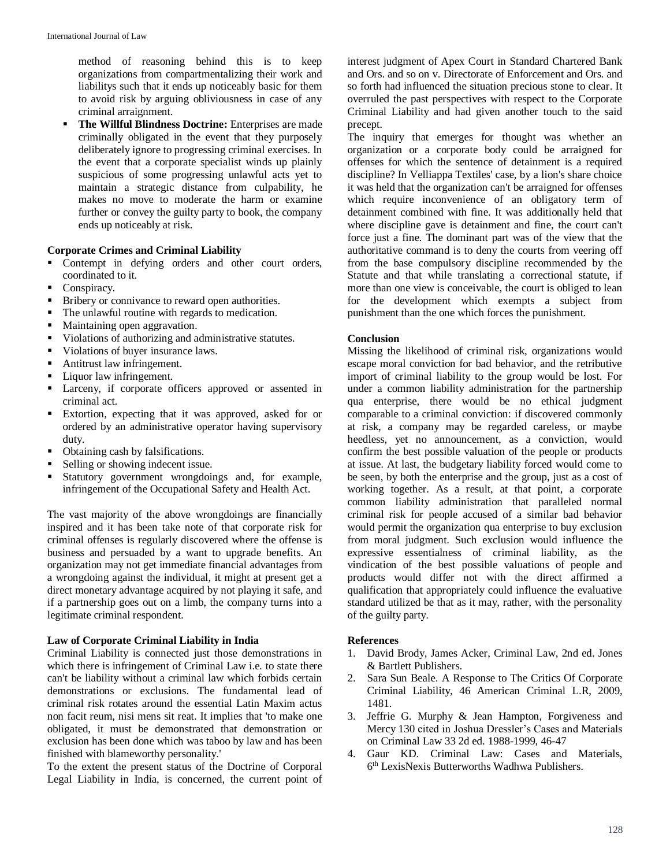method of reasoning behind this is to keep organizations from compartmentalizing their work and liabilitys such that it ends up noticeably basic for them to avoid risk by arguing obliviousness in case of any criminal arraignment.

 **The Willful Blindness Doctrine:** Enterprises are made criminally obligated in the event that they purposely deliberately ignore to progressing criminal exercises. In the event that a corporate specialist winds up plainly suspicious of some progressing unlawful acts yet to maintain a strategic distance from culpability, he makes no move to moderate the harm or examine further or convey the guilty party to book, the company ends up noticeably at risk.

#### **Corporate Crimes and Criminal Liability**

- Contempt in defying orders and other court orders, coordinated to it.
- Conspiracy.
- Bribery or connivance to reward open authorities.
- The unlawful routine with regards to medication.
- **Maintaining open aggravation.**
- Violations of authorizing and administrative statutes.
- Violations of buyer insurance laws.
- Antitrust law infringement.
- **Liquor law infringement.**
- Larceny, if corporate officers approved or assented in criminal act.
- Extortion, expecting that it was approved, asked for or ordered by an administrative operator having supervisory duty.
- Obtaining cash by falsifications.
- Selling or showing indecent issue.
- Statutory government wrongdoings and, for example, infringement of the Occupational Safety and Health Act.

The vast majority of the above wrongdoings are financially inspired and it has been take note of that corporate risk for criminal offenses is regularly discovered where the offense is business and persuaded by a want to upgrade benefits. An organization may not get immediate financial advantages from a wrongdoing against the individual, it might at present get a direct monetary advantage acquired by not playing it safe, and if a partnership goes out on a limb, the company turns into a legitimate criminal respondent.

## **Law of Corporate Criminal Liability in India**

Criminal Liability is connected just those demonstrations in which there is infringement of Criminal Law i.e. to state there can't be liability without a criminal law which forbids certain demonstrations or exclusions. The fundamental lead of criminal risk rotates around the essential Latin Maxim actus non facit reum, nisi mens sit reat. It implies that 'to make one obligated, it must be demonstrated that demonstration or exclusion has been done which was taboo by law and has been finished with blameworthy personality.'

To the extent the present status of the Doctrine of Corporal Legal Liability in India, is concerned, the current point of interest judgment of Apex Court in Standard Chartered Bank and Ors. and so on v. Directorate of Enforcement and Ors. and so forth had influenced the situation precious stone to clear. It overruled the past perspectives with respect to the Corporate Criminal Liability and had given another touch to the said precept.

The inquiry that emerges for thought was whether an organization or a corporate body could be arraigned for offenses for which the sentence of detainment is a required discipline? In Velliappa Textiles' case, by a lion's share choice it was held that the organization can't be arraigned for offenses which require inconvenience of an obligatory term of detainment combined with fine. It was additionally held that where discipline gave is detainment and fine, the court can't force just a fine. The dominant part was of the view that the authoritative command is to deny the courts from veering off from the base compulsory discipline recommended by the Statute and that while translating a correctional statute, if more than one view is conceivable, the court is obliged to lean for the development which exempts a subject from punishment than the one which forces the punishment.

#### **Conclusion**

Missing the likelihood of criminal risk, organizations would escape moral conviction for bad behavior, and the retributive import of criminal liability to the group would be lost. For under a common liability administration for the partnership qua enterprise, there would be no ethical judgment comparable to a criminal conviction: if discovered commonly at risk, a company may be regarded careless, or maybe heedless, yet no announcement, as a conviction, would confirm the best possible valuation of the people or products at issue. At last, the budgetary liability forced would come to be seen, by both the enterprise and the group, just as a cost of working together. As a result, at that point, a corporate common liability administration that paralleled normal criminal risk for people accused of a similar bad behavior would permit the organization qua enterprise to buy exclusion from moral judgment. Such exclusion would influence the expressive essentialness of criminal liability, as the vindication of the best possible valuations of people and products would differ not with the direct affirmed a qualification that appropriately could influence the evaluative standard utilized be that as it may, rather, with the personality of the guilty party.

#### **References**

- 1. David Brody, James Acker, Criminal Law, 2nd ed. Jones & Bartlett Publishers.
- Sara Sun Beale. A Response to The Critics Of Corporate Criminal Liability, 46 American Criminal L.R, 2009, 1481.
- 3. Jeffrie G. Murphy & Jean Hampton, Forgiveness and Mercy 130 cited in Joshua Dressler's Cases and Materials on Criminal Law 33 2d ed. 1988-1999, 46-47
- 4. Gaur KD. Criminal Law: Cases and Materials, 6 th LexisNexis Butterworths Wadhwa Publishers.